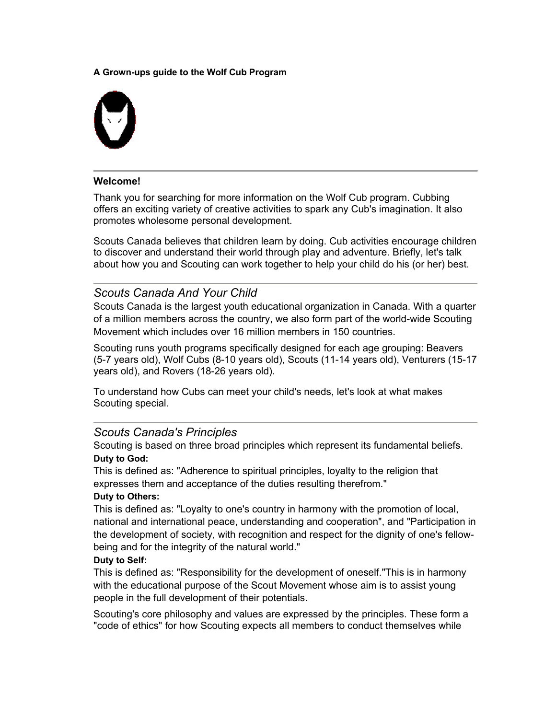### **A Grown-ups guide to the Wolf Cub Program**



### **Welcome!**

Thank you for searching for more information on the Wolf Cub program. Cubbing offers an exciting variety of creative activities to spark any Cub's imagination. It also promotes wholesome personal development.

Scouts Canada believes that children learn by doing. Cub activities encourage children to discover and understand their world through play and adventure. Briefly, let's talk about how you and Scouting can work together to help your child do his (or her) best.

# *Scouts Canada And Your Child*

Scouts Canada is the largest youth educational organization in Canada. With a quarter of a million members across the country, we also form part of the world-wide Scouting Movement which includes over 16 million members in 150 countries.

Scouting runs youth programs specifically designed for each age grouping: Beavers (5-7 years old), Wolf Cubs (8-10 years old), Scouts (11-14 years old), Venturers (15-17 years old), and Rovers (18-26 years old).

To understand how Cubs can meet your child's needs, let's look at what makes Scouting special.

## *Scouts Canada's Principles*

Scouting is based on three broad principles which represent its fundamental beliefs. **Duty to God:** 

This is defined as: "Adherence to spiritual principles, loyalty to the religion that expresses them and acceptance of the duties resulting therefrom."

### **Duty to Others:**

This is defined as: "Loyalty to one's country in harmony with the promotion of local, national and international peace, understanding and cooperation", and "Participation in the development of society, with recognition and respect for the dignity of one's fellowbeing and for the integrity of the natural world."

### **Duty to Self:**

This is defined as: "Responsibility for the development of oneself."This is in harmony with the educational purpose of the Scout Movement whose aim is to assist young people in the full development of their potentials.

Scouting's core philosophy and values are expressed by the principles. These form a "code of ethics" for how Scouting expects all members to conduct themselves while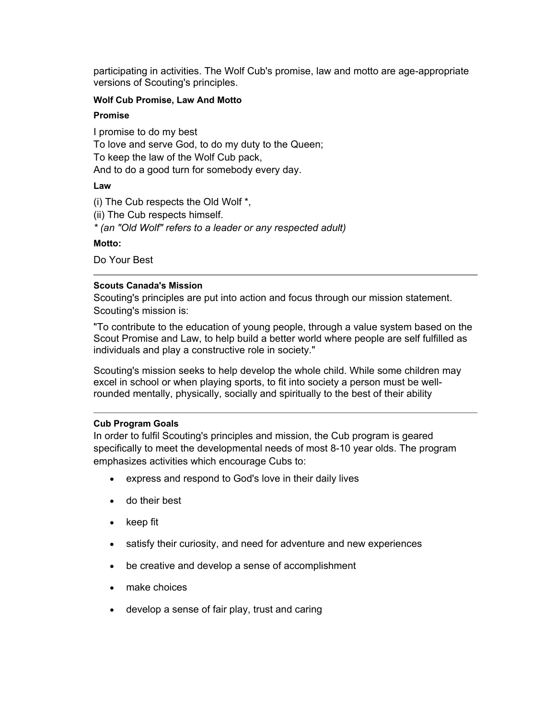participating in activities. The Wolf Cub's promise, law and motto are age-appropriate versions of Scouting's principles.

#### **Wolf Cub Promise, Law And Motto**

#### **Promise**

I promise to do my best To love and serve God, to do my duty to the Queen; To keep the law of the Wolf Cub pack, And to do a good turn for somebody every day.

#### **Law**

(i) The Cub respects the Old Wolf \*,

- (ii) The Cub respects himself.
- *\* (an "Old Wolf" refers to a leader or any respected adult)*

#### **Motto:**

Do Your Best

#### **Scouts Canada's Mission**

Scouting's principles are put into action and focus through our mission statement. Scouting's mission is:

"To contribute to the education of young people, through a value system based on the Scout Promise and Law, to help build a better world where people are self fulfilled as individuals and play a constructive role in society."

Scouting's mission seeks to help develop the whole child. While some children may excel in school or when playing sports, to fit into society a person must be wellrounded mentally, physically, socially and spiritually to the best of their ability

### **Cub Program Goals**

In order to fulfil Scouting's principles and mission, the Cub program is geared specifically to meet the developmental needs of most 8-10 year olds. The program emphasizes activities which encourage Cubs to:

- express and respond to God's love in their daily lives
- do their best
- keep fit
- satisfy their curiosity, and need for adventure and new experiences
- be creative and develop a sense of accomplishment
- make choices
- develop a sense of fair play, trust and caring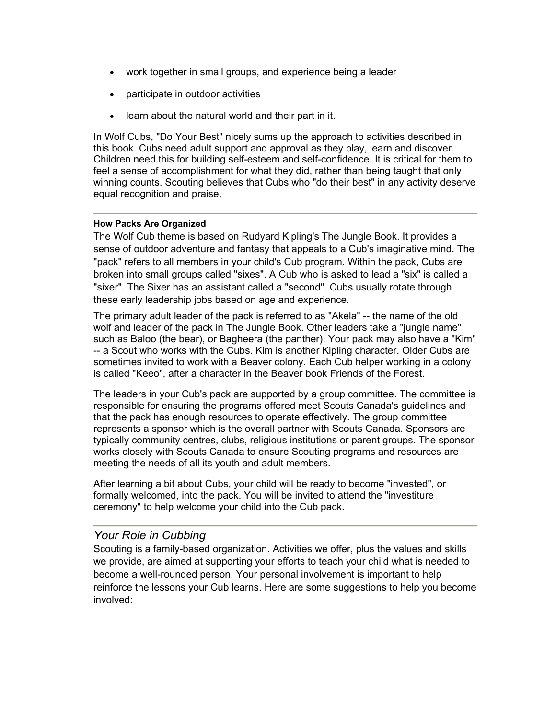- work together in small groups, and experience being a leader
- participate in outdoor activities
- learn about the natural world and their part in it.

In Wolf Cubs, "Do Your Best" nicely sums up the approach to activities described in this book. Cubs need adult support and approval as they play, learn and discover. Children need this for building self-esteem and self-confidence. It is critical for them to feel a sense of accomplishment for what they did, rather than being taught that only winning counts. Scouting believes that Cubs who "do their best" in any activity deserve equal recognition and praise.

### **How Packs Are Organized**

The Wolf Cub theme is based on Rudyard Kipling's The Jungle Book. It provides a sense of outdoor adventure and fantasy that appeals to a Cub's imaginative mind. The "pack" refers to all members in your child's Cub program. Within the pack, Cubs are broken into small groups called "sixes". A Cub who is asked to lead a "six" is called a "sixer". The Sixer has an assistant called a "second". Cubs usually rotate through these early leadership jobs based on age and experience.

The primary adult leader of the pack is referred to as "Akela" -- the name of the old wolf and leader of the pack in The Jungle Book. Other leaders take a "jungle name" such as Baloo (the bear), or Bagheera (the panther). Your pack may also have a "Kim" -- a Scout who works with the Cubs. Kim is another Kipling character. Older Cubs are sometimes invited to work with a Beaver colony. Each Cub helper working in a colony is called "Keeo", after a character in the Beaver book Friends of the Forest.

The leaders in your Cub's pack are supported by a group committee. The committee is responsible for ensuring the programs offered meet Scouts Canada's guidelines and that the pack has enough resources to operate effectively. The group committee represents a sponsor which is the overall partner with Scouts Canada. Sponsors are typically community centres, clubs, religious institutions or parent groups. The sponsor works closely with Scouts Canada to ensure Scouting programs and resources are meeting the needs of all its youth and adult members.

After learning a bit about Cubs, your child will be ready to become "invested", or formally welcomed, into the pack. You will be invited to attend the "investiture ceremony" to help welcome your child into the Cub pack.

## *Your Role in Cubbing*

Scouting is a family-based organization. Activities we offer, plus the values and skills we provide, are aimed at supporting your efforts to teach your child what is needed to become a well-rounded person. Your personal involvement is important to help reinforce the lessons your Cub learns. Here are some suggestions to help you become involved: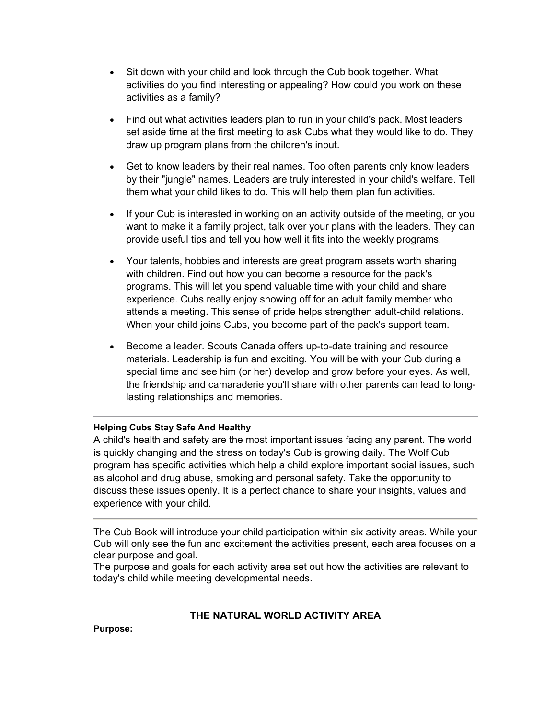- Sit down with your child and look through the Cub book together. What activities do you find interesting or appealing? How could you work on these activities as a family?
- Find out what activities leaders plan to run in your child's pack. Most leaders set aside time at the first meeting to ask Cubs what they would like to do. They draw up program plans from the children's input.
- Get to know leaders by their real names. Too often parents only know leaders by their "jungle" names. Leaders are truly interested in your child's welfare. Tell them what your child likes to do. This will help them plan fun activities.
- If your Cub is interested in working on an activity outside of the meeting, or you want to make it a family project, talk over your plans with the leaders. They can provide useful tips and tell you how well it fits into the weekly programs.
- Your talents, hobbies and interests are great program assets worth sharing with children. Find out how you can become a resource for the pack's programs. This will let you spend valuable time with your child and share experience. Cubs really enjoy showing off for an adult family member who attends a meeting. This sense of pride helps strengthen adult-child relations. When your child joins Cubs, you become part of the pack's support team.
- Become a leader. Scouts Canada offers up-to-date training and resource materials. Leadership is fun and exciting. You will be with your Cub during a special time and see him (or her) develop and grow before your eyes. As well, the friendship and camaraderie you'll share with other parents can lead to longlasting relationships and memories.

### **Helping Cubs Stay Safe And Healthy**

A child's health and safety are the most important issues facing any parent. The world is quickly changing and the stress on today's Cub is growing daily. The Wolf Cub program has specific activities which help a child explore important social issues, such as alcohol and drug abuse, smoking and personal safety. Take the opportunity to discuss these issues openly. It is a perfect chance to share your insights, values and experience with your child.

The Cub Book will introduce your child participation within six activity areas. While your Cub will only see the fun and excitement the activities present, each area focuses on a clear purpose and goal.

The purpose and goals for each activity area set out how the activities are relevant to today's child while meeting developmental needs.

### **THE NATURAL WORLD ACTIVITY AREA**

**Purpose:**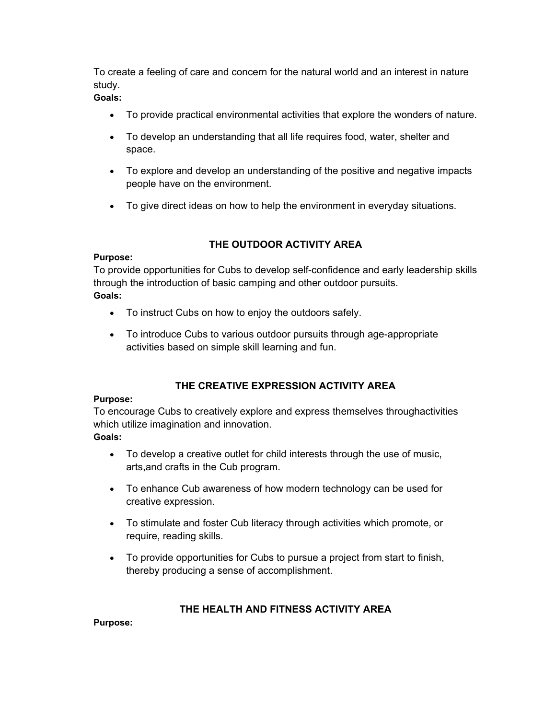To create a feeling of care and concern for the natural world and an interest in nature study.

**Goals:** 

- To provide practical environmental activities that explore the wonders of nature.
- To develop an understanding that all life requires food, water, shelter and space.
- To explore and develop an understanding of the positive and negative impacts people have on the environment.
- To give direct ideas on how to help the environment in everyday situations.

# **THE OUTDOOR ACTIVITY AREA**

## **Purpose:**

To provide opportunities for Cubs to develop self-confidence and early leadership skills through the introduction of basic camping and other outdoor pursuits. **Goals:** 

- To instruct Cubs on how to enjoy the outdoors safely.
- To introduce Cubs to various outdoor pursuits through age-appropriate activities based on simple skill learning and fun.

# **THE CREATIVE EXPRESSION ACTIVITY AREA**

## **Purpose:**

To encourage Cubs to creatively explore and express themselves throughactivities which utilize imagination and innovation.

## **Goals:**

- To develop a creative outlet for child interests through the use of music, arts,and crafts in the Cub program.
- To enhance Cub awareness of how modern technology can be used for creative expression.
- To stimulate and foster Cub literacy through activities which promote, or require, reading skills.
- To provide opportunities for Cubs to pursue a project from start to finish, thereby producing a sense of accomplishment.

# **THE HEALTH AND FITNESS ACTIVITY AREA**

**Purpose:**